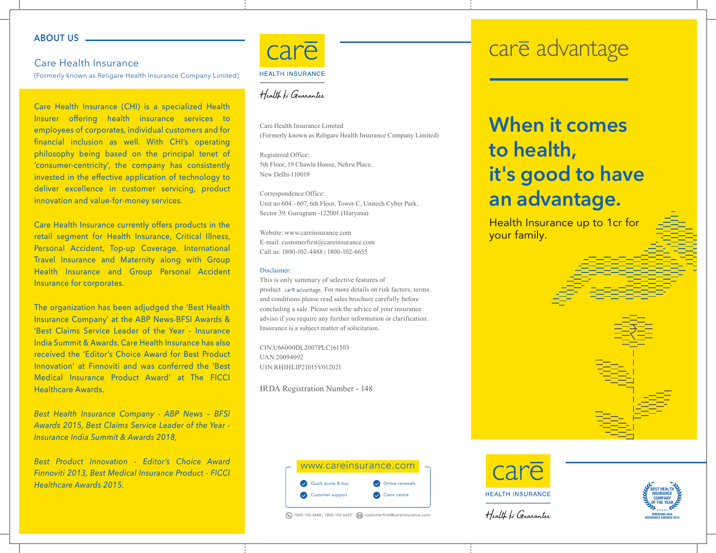#### **ABOUT US**

### Care Health Insurance

(Formerly known as Religare Health Insurance Company Limited)

Care Health Insurance (CHI) is a specialized Health Insurer offering health insurance services to employees of corporates, individual customers and for financial inclusion as well. With CHI's operating philosophy being based on the principal tenet of 'consumer-centricity', the company has consistently invested in the effective application of technology to deliver excellence in customer servicing, product innovation and value-for-money services.

Care Health Insurance currently offers products in the retail segment for Health Insurance, Critical Illness, Personal Accident, Top-up Coverage, International Travel Insurance and Maternity along with Group Health Insurance and Group Personal Accident Insurance for corporates.

The organization has been adjudged the 'Best Health Insurance Company' at the ABP News-BFSI Awards & 'Best Claims Service Leader of the Year – Insurance India Summit & Awards. Care Health Insurance has also received the 'Editor's Choice Award for Best Product Innovation' at Finnoviti and was conferred the 'Best Medical Insurance Product Award' at The FICCI Healthcare Awards.

*Best Health Insurance Company - ABP News – BFSI Awards 2015, Best Claims Service Leader of the Year - Insurance India Summit & Awards 2018,*

*Best Product Innovation - Editor's Choice Award Finnoviti 2013, Best Medical Insurance Product - FICCI Healthcare Awards 2015.*



# Health ki Guarantee

Care Health Insurance Limited (Formerly known as Religare Health Insurance Company Limited)

Registered Office: 5th Floor, 19 Chawla House, Nehru Place, New Delhi-110019

Correspondence Office: Unit no 604 - 607, 6th Floor, Tower C, Unitech Cyber Park, Sector 39, Gurugram -122001 (Haryana)

Website: www.careinsurance.com E-mail: customerfirst@careinsurance.com Call us: 1800-102-4488 | 1800-102-6655

#### Disclaimer:

This is only summary of selective features of product care advantage. For more details on risk factors, terms and conditions please read sales brochure carefully before concluding a sale. Please seek the advice of your insurance adviso if you require any further information or clarification. Insurance is a subject matter of solicitation.

CIN:U66000DL2007PLC161503 UAN:20094092 UIN:RHIHLIP21015V012021

IRDA Registration Number - 148



© 1800-102-4488 | 1800-102-6655 © customerfirst@careinsurance.com

# care advantage

# **When it comes to health, it's good to have an advantage.**

Health Insurance up to 1cr for your family.